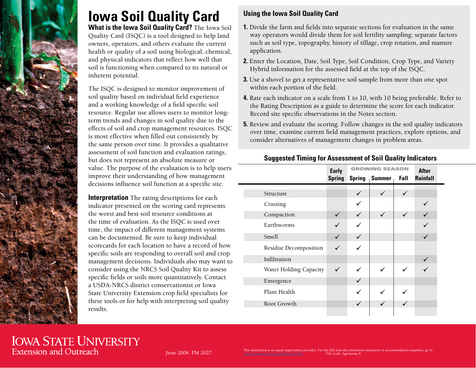

# **Iowa Soil Quality Card**

**What is the Iowa Soil Quality Card?** The Iowa Soil Quality Card (ISQC) is a tool designed to help land owners, operators, and others evaluate the current health or quality of a soil using biological, chemical, and physical indicators that reflect how well that soil is functioning when compared to its natural or inherent potential.

The ISQC is designed to monitor improvement of soil quality based on individual field experience and a working knowledge of a field specific soil resource. Regular use allows users to monitor longterm trends and changes in soil quality due to the effects of soil and crop management resources. ISQC is most effective when filled out consistently by the same person over time. It provides a qualitative assessment of soil function and evaluation ratings, but does not represent an absolute measure or value. The purpose of the evaluation is to help users improve their understanding of how management decisions influence soil function at a specific site.

**Interpretation** The rating descriptions for each indicator presented on the scoring card represents the worst and best soil resource conditions at the time of evaluation. As the ISQC is used over time, the impact of different management systems can be documented. Be sure to keep individual scorecards for each location to have a record of how specific soils are responding to overall soil and crop management decisions. Individuals also may want to consider using the NRCS Soil Quality Kit to assess specific fields or soils more quantitatively. Contact a USDA-NRCS district conservationist or Iowa State University Extension crop field specialists for these tools or for help with interpreting soil quality results.

### **Using the Iowa Soil Quality Card**

- **1.** Divide the farm and fields into separate sections for evaluation in the same way operators would divide them for soil fertility sampling: separate factors such as soil type, topography, history of tillage, crop rotation, and manure application.
- **2.** Enter the Location, Date, Soil Type, Soil Condition, Crop Type, and Variety Hybrid information for the assessed field at the top of the ISQC.
- **3.** Use a shovel to get a representative soil sample from more than one spot within each portion of the field.
- **4.** Rate each indicator on a scale from 1 to 10, with 10 being preferable. Refer to the Rating Description as a guide to determine the score for each indicator. Record site specific observations in the Notes section.
- **5.** Review and evaluate the scoring. Follow changes in the soil quality indicators over time, examine current field management practices, explore options, and consider alternatives of management changes in problem areas.

#### **Suggested Timing for Assessment of Soil Quality Indicators**

|                        | <b>Early</b>  | <b>GROWING SEASON</b> |               |              | <b>After</b> |
|------------------------|---------------|-----------------------|---------------|--------------|--------------|
|                        | <b>Spring</b> | <b>Spring</b>         | <b>Summer</b> | Fall         | Rainfall     |
|                        |               |                       |               |              |              |
| Structure              |               | ✓                     | $\checkmark$  | $\checkmark$ |              |
| Crusting               |               |                       |               |              |              |
| Compaction             | $\checkmark$  | $\checkmark$          | $\checkmark$  | $\checkmark$ | $\checkmark$ |
| Earthworms             |               |                       |               |              |              |
| Smell                  | ✓             |                       |               |              | ✓            |
| Residue Decomposition  | ✓             |                       |               |              |              |
| Infiltration           |               |                       |               |              |              |
| Water Holding Capacity | $\checkmark$  | ✓                     | $\checkmark$  | ✓            |              |
| Emergence              |               | $\checkmark$          |               |              |              |
| Plant Health           |               |                       |               |              |              |
| Root Growth            |               |                       |               |              |              |
|                        |               |                       |               |              |              |

## **IOWA STATE UNIVERSITY Extension and Outreach**